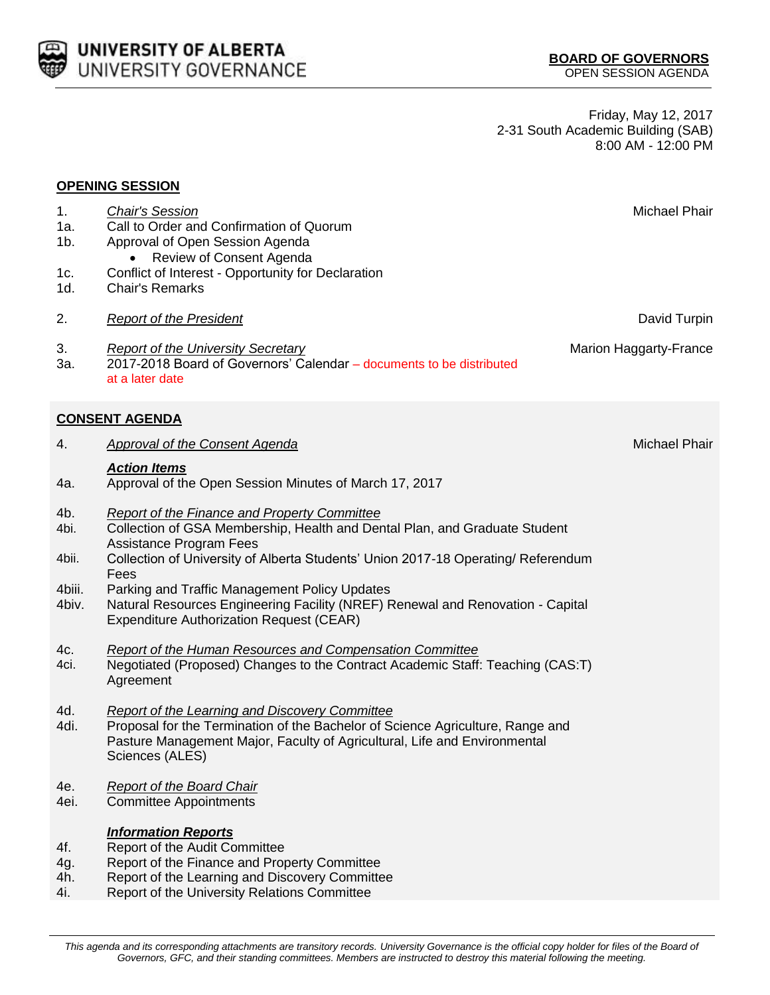| <b>CELL UNIVERSITY OF ALBERTA</b> |
|-----------------------------------|
| <b>WED UNIVERSITY GOVERNANCE</b>  |

Friday, May 12, 2017 2-31 South Academic Building (SAB) 8:00 AM - 12:00 PM

| <b>OPENING SESSION</b>                  |                                                                                                                                                                                                                                                                                                                                                                                                                                                        |                        |  |  |
|-----------------------------------------|--------------------------------------------------------------------------------------------------------------------------------------------------------------------------------------------------------------------------------------------------------------------------------------------------------------------------------------------------------------------------------------------------------------------------------------------------------|------------------------|--|--|
| 1.<br>1a.<br>$1b$ .<br>1c.<br>1d.       | <b>Chair's Session</b><br>Call to Order and Confirmation of Quorum<br>Approval of Open Session Agenda<br>Review of Consent Agenda<br>Conflict of Interest - Opportunity for Declaration<br><b>Chair's Remarks</b>                                                                                                                                                                                                                                      | Michael Phair          |  |  |
| 2.                                      | <b>Report of the President</b>                                                                                                                                                                                                                                                                                                                                                                                                                         | David Turpin           |  |  |
| 3.<br>3a.                               | <b>Report of the University Secretary</b><br>2017-2018 Board of Governors' Calendar - documents to be distributed<br>at a later date                                                                                                                                                                                                                                                                                                                   | Marion Haggarty-France |  |  |
| <b>CONSENT AGENDA</b>                   |                                                                                                                                                                                                                                                                                                                                                                                                                                                        |                        |  |  |
| 4.                                      | <b>Approval of the Consent Agenda</b>                                                                                                                                                                                                                                                                                                                                                                                                                  | Michael Phair          |  |  |
| 4a.                                     | <b>Action Items</b><br>Approval of the Open Session Minutes of March 17, 2017                                                                                                                                                                                                                                                                                                                                                                          |                        |  |  |
| 4b.<br>4bi.<br>4bii.<br>4biii.<br>4biv. | <b>Report of the Finance and Property Committee</b><br>Collection of GSA Membership, Health and Dental Plan, and Graduate Student<br><b>Assistance Program Fees</b><br>Collection of University of Alberta Students' Union 2017-18 Operating/ Referendum<br>Fees<br>Parking and Traffic Management Policy Updates<br>Natural Resources Engineering Facility (NREF) Renewal and Renovation - Capital<br><b>Expenditure Authorization Request (CEAR)</b> |                        |  |  |
| 4c.<br>4ci.                             | <b>Report of the Human Resources and Compensation Committee</b><br>Negotiated (Proposed) Changes to the Contract Academic Staff: Teaching (CAS:T)<br>Agreement                                                                                                                                                                                                                                                                                         |                        |  |  |
| 4d.<br>4di.                             | Report of the Learning and Discovery Committee<br>Proposal for the Termination of the Bachelor of Science Agriculture, Range and<br>Pasture Management Major, Faculty of Agricultural, Life and Environmental<br>Sciences (ALES)                                                                                                                                                                                                                       |                        |  |  |
| 4e.<br>4ei.                             | Report of the Board Chair<br><b>Committee Appointments</b>                                                                                                                                                                                                                                                                                                                                                                                             |                        |  |  |
| 4f.<br>4g.<br>4h.<br>4i.                | <b>Information Reports</b><br>Report of the Audit Committee<br>Report of the Finance and Property Committee<br>Report of the Learning and Discovery Committee<br>Report of the University Relations Committee                                                                                                                                                                                                                                          |                        |  |  |